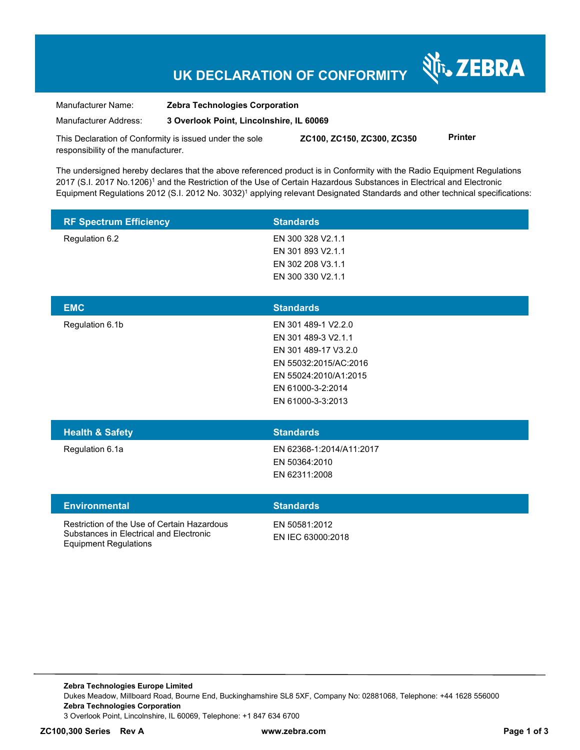# **UK DECLARATION OF CONFORMITY**

र्शे<sub>ं</sub> ZEBRA

Manufacturer Name: **Zebra Technologies Corporation**  Manufacturer Address: **3 Overlook Point, Lincolnshire, IL 60069** 

This Declaration of Conformity is issued under the sole responsibility of the manufacturer. **ZC100, ZC150, ZC300, ZC350 Printer** 

The undersigned hereby declares that the above referenced product is in Conformity with the Radio Equipment Regulations 2017 (S.I. 2017 No.1206)<sup>1</sup> and the Restriction of the Use of Certain Hazardous Substances in Electrical and Electronic Equipment Regulations 2012 (S.I. 2012 No. 3032)<sup>1</sup> applying relevant Designated Standards and other technical specifications:

| <b>RF Spectrum Efficiency</b>                                                                                          | <b>Standards</b>                                                                                                                                               |
|------------------------------------------------------------------------------------------------------------------------|----------------------------------------------------------------------------------------------------------------------------------------------------------------|
| Regulation 6.2                                                                                                         | EN 300 328 V2.1.1<br>EN 301 893 V2.1.1<br>EN 302 208 V3.1.1<br>EN 300 330 V2.1.1                                                                               |
| <b>EMC</b>                                                                                                             | <b>Standards</b>                                                                                                                                               |
| Regulation 6.1b                                                                                                        | EN 301 489-1 V2.2.0<br>EN 301 489-3 V2.1.1<br>EN 301 489-17 V3.2.0<br>EN 55032:2015/AC:2016<br>EN 55024:2010/A1:2015<br>EN 61000-3-2:2014<br>EN 61000-3-3:2013 |
| <b>Health &amp; Safety</b>                                                                                             | <b>Standards</b>                                                                                                                                               |
| Regulation 6.1a                                                                                                        | EN 62368-1:2014/A11:2017<br>EN 50364:2010<br>EN 62311:2008                                                                                                     |
| <b>Environmental</b>                                                                                                   | <b>Standards</b>                                                                                                                                               |
| Restriction of the Use of Certain Hazardous<br>Substances in Electrical and Electronic<br><b>Equipment Regulations</b> | EN 50581:2012<br>EN IEC 63000:2018                                                                                                                             |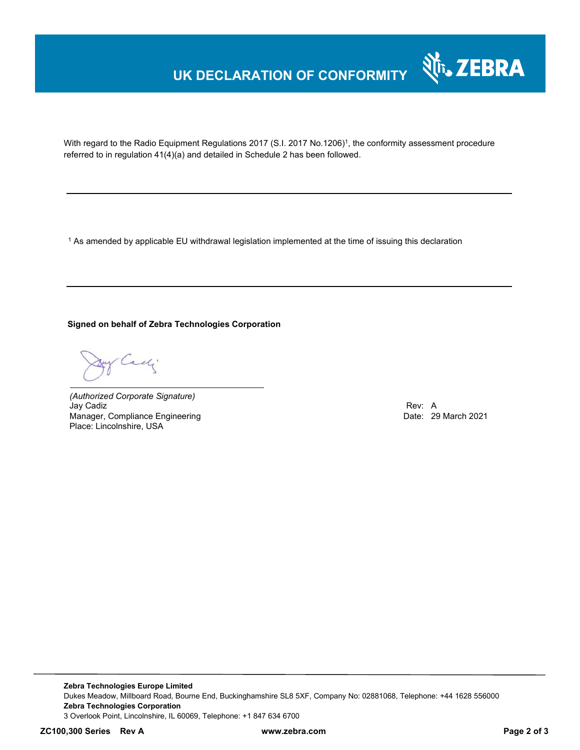# **UK DECLARATION OF CONFORMITY**



With regard to the Radio Equipment Regulations 2017 (S.I. 2017 No.1206)<sup>1</sup>, the conformity assessment procedure referred to in regulation 41(4)(a) and detailed in Schedule 2 has been followed.

 $^{\rm 1}$  As amended by applicable EU withdrawal legislation implemented at the time of issuing this declaration

### **Signed on behalf of Zebra Technologies Corporation**

of Cachi

*(Authorized Corporate Signature)* Jay Cadiz Rev: A Manager, Compliance Engineering Place: Lincolnshire, USA